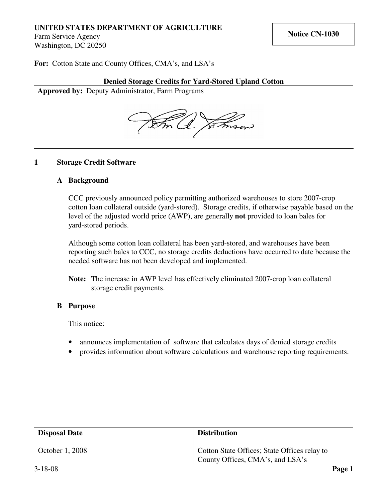## **UNITED STATES DEPARTMENT OF AGRICULTURE**

Farm Service Agency Washington, DC 20250

**For:** Cotton State and County Offices, CMA's, and LSA's

## **Denied Storage Credits for Yard-Stored Upland Cotton**

**Approved by:** Deputy Administrator, Farm Programs



#### **1 Storage Credit Software**

#### **A Background**

CCC previously announced policy permitting authorized warehouses to store 2007-crop cotton loan collateral outside (yard-stored). Storage credits, if otherwise payable based on the level of the adjusted world price (AWP), are generally **not** provided to loan bales for yard-stored periods.

Although some cotton loan collateral has been yard-stored, and warehouses have been reporting such bales to CCC, no storage credits deductions have occurred to date because the needed software has not been developed and implemented.

### **B Purpose**

This notice:

- announces implementation of software that calculates days of denied storage credits
- provides information about software calculations and warehouse reporting requirements.

| <b>Disposal Date</b> | <b>Distribution</b>                                                              |  |
|----------------------|----------------------------------------------------------------------------------|--|
| October 1, 2008      | Cotton State Offices; State Offices relay to<br>County Offices, CMA's, and LSA's |  |

**Note:** The increase in AWP level has effectively eliminated 2007-crop loan collateral storage credit payments.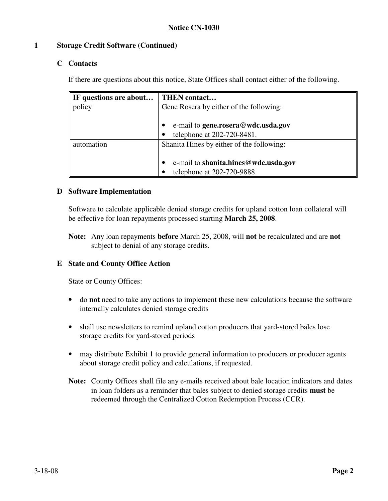## **1 Storage Credit Software (Continued)**

## **C Contacts**

If there are questions about this notice, State Offices shall contact either of the following.

| IF questions are about | THEN contact                              |
|------------------------|-------------------------------------------|
| policy                 | Gene Rosera by either of the following:   |
|                        |                                           |
|                        | e-mail to gene.rosera@wdc.usda.gov        |
|                        | telephone at 202-720-8481.<br>$\bullet$   |
| automation             | Shanita Hines by either of the following: |
|                        |                                           |
|                        | e-mail to shanita.hines@wdc.usda.gov      |
|                        | telephone at 202-720-9888.<br>$\bullet$   |

### **D Software Implementation**

Software to calculate applicable denied storage credits for upland cotton loan collateral will be effective for loan repayments processed starting **March 25, 2008**.

**Note:** Any loan repayments **before** March 25, 2008, will **not** be recalculated and are **not** subject to denial of any storage credits.

## **E State and County Office Action**

State or County Offices:

- do **not** need to take any actions to implement these new calculations because the software internally calculates denied storage credits
- shall use newsletters to remind upland cotton producers that yard-stored bales lose storage credits for yard-stored periods
- may distribute Exhibit 1 to provide general information to producers or producer agents about storage credit policy and calculations, if requested.
- **Note:** County Offices shall file any e-mails received about bale location indicators and dates in loan folders as a reminder that bales subject to denied storage credits **must** be redeemed through the Centralized Cotton Redemption Process (CCR).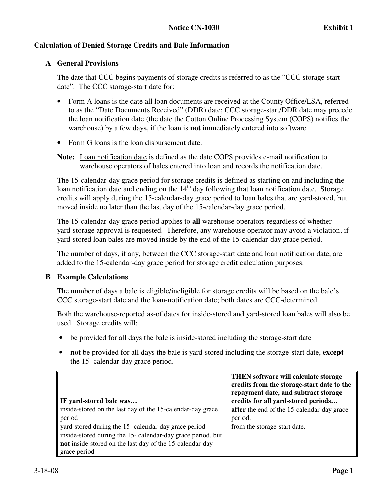### **A General Provisions**

The date that CCC begins payments of storage credits is referred to as the "CCC storage-start date". The CCC storage-start date for:

- Form A loans is the date all loan documents are received at the County Office/LSA, referred to as the "Date Documents Received" (DDR) date; CCC storage-start/DDR date may precede the loan notification date (the date the Cotton Online Processing System (COPS) notifies the warehouse) by a few days, if the loan is **not** immediately entered into software
- Form G loans is the loan disbursement date.
- **Note:** Loan notification date is defined as the date COPS provides e-mail notification to warehouse operators of bales entered into loan and records the notification date.

The 15-calendar-day grace period for storage credits is defined as starting on and including the loan notification date and ending on the  $14<sup>th</sup>$  day following that loan notification date. Storage credits will apply during the 15-calendar-day grace period to loan bales that are yard-stored, but moved inside no later than the last day of the 15-calendar-day grace period.

The 15-calendar-day grace period applies to **all** warehouse operators regardless of whether yard-storage approval is requested. Therefore, any warehouse operator may avoid a violation, if yard-stored loan bales are moved inside by the end of the 15-calendar-day grace period.

The number of days, if any, between the CCC storage-start date and loan notification date, are added to the 15-calendar-day grace period for storage credit calculation purposes.

### **B Example Calculations**

The number of days a bale is eligible/ineligible for storage credits will be based on the bale's CCC storage-start date and the loan-notification date; both dates are CCC-determined.

Both the warehouse-reported as-of dates for inside-stored and yard-stored loan bales will also be used. Storage credits will:

- be provided for all days the bale is inside-stored including the storage-start date
- **not** be provided for all days the bale is yard-stored including the storage-start date, **except** the 15- calendar-day grace period.

|                                                             | THEN software will calculate storage<br>credits from the storage-start date to the<br>repayment date, and subtract storage |
|-------------------------------------------------------------|----------------------------------------------------------------------------------------------------------------------------|
| IF yard-stored bale was                                     | credits for all yard-stored periods                                                                                        |
| inside-stored on the last day of the 15-calendar-day grace  | after the end of the 15-calendar-day grace                                                                                 |
| period                                                      | period.                                                                                                                    |
| yard-stored during the 15- calendar-day grace period        | from the storage-start date.                                                                                               |
| inside-stored during the 15- calendar-day grace period, but |                                                                                                                            |
| not inside-stored on the last day of the 15-calendar-day    |                                                                                                                            |
| grace period                                                |                                                                                                                            |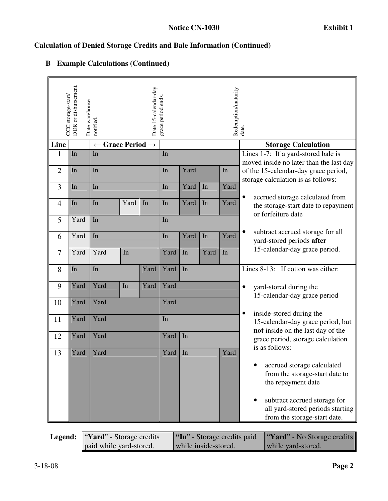## CCC storage-start/<br>DDR or disbursement.<br>Date warehouse<br>notified.<br>Date 15-calendar-day<br>grace period ends. Redemption/maturity Redemption/maturity<br>date. **Line**  $\vert \leftarrow$  Grace Period →  $\vert$  **Storage Calculation**  $1 \quad \text{In} \quad \text{In} \quad \text{In}$ 2  $\ln$  In In Yard In In 3 In In In Yard In Yard In Yard 4 In In Yard In In Yard In Yard  $5$  Yard In In 6 Yard In In Yard In Yard In Yard 7 Yard Yard In Yard In Yard In Lines 1-7: If a yard-stored bale is moved inside no later than the last day of the 15-calendar-day grace period, storage calculation is as follows: accrued storage calculated from the storage-start date to repayment or forfeiture date • subtract accrued storage for all yard-stored periods **after** 15-calendar-day grace period. 8 In In Yard Yard In 9 Yard Yard In Yard Yard 10 Yard Yard Yard 11 Yard Yard In 12 Yard Yard Yard In 13 Yard Yard Yard 15 Yard In Yard Yard Yard In Yard Yard In Yard Yard In Yard Yard Yard In Yard Yard In Yard Yard In Yard Yard Yard In Yard Yard In Yard Yard In Yard Yard In Yard Yard In Yard In Yard Yard In Yard In Yard I Lines 8-13: If cotton was either: • yard-stored during the 15-calendar-day grace period • inside-stored during the 15-calendar-day grace period, but **not** inside on the last day of the grace period, storage calculation is as follows: • accrued storage calculated from the storage-start date to the repayment date subtract accrued storage for all yard-stored periods starting from the storage-start date.

## **B Example Calculations (Continued)**

| <b>Legend:</b> "Yard" - Storage credits |                         | "In" - Storage credits paid | <b>"Yard"</b> - No Storage credits |  |
|-----------------------------------------|-------------------------|-----------------------------|------------------------------------|--|
|                                         | paid while yard-stored. | while inside-stored.        | while yard-stored.                 |  |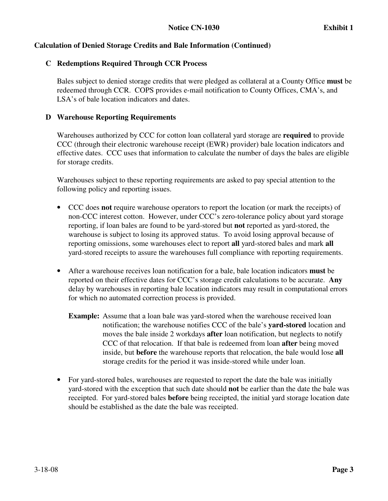## **C Redemptions Required Through CCR Process**

Bales subject to denied storage credits that were pledged as collateral at a County Office **must** be redeemed through CCR. COPS provides e-mail notification to County Offices, CMA's, and LSA's of bale location indicators and dates.

## **D Warehouse Reporting Requirements**

Warehouses authorized by CCC for cotton loan collateral yard storage are **required** to provide CCC (through their electronic warehouse receipt (EWR) provider) bale location indicators and effective dates. CCC uses that information to calculate the number of days the bales are eligible for storage credits.

Warehouses subject to these reporting requirements are asked to pay special attention to the following policy and reporting issues.

- CCC does **not** require warehouse operators to report the location (or mark the receipts) of non-CCC interest cotton. However, under CCC's zero-tolerance policy about yard storage reporting, if loan bales are found to be yard-stored but **not** reported as yard-stored, the warehouse is subject to losing its approved status. To avoid losing approval because of reporting omissions, some warehouses elect to report **all** yard-stored bales and mark **all** yard-stored receipts to assure the warehouses full compliance with reporting requirements.
- After a warehouse receives loan notification for a bale, bale location indicators **must** be reported on their effective dates for CCC's storage credit calculations to be accurate. **Any** delay by warehouses in reporting bale location indicators may result in computational errors for which no automated correction process is provided.
	- **Example:** Assume that a loan bale was yard-stored when the warehouse received loan notification; the warehouse notifies CCC of the bale's **yard-stored** location and moves the bale inside 2 workdays **after** loan notification, but neglects to notify CCC of that relocation. If that bale is redeemed from loan **after** being moved inside, but **before** the warehouse reports that relocation, the bale would lose **all** storage credits for the period it was inside-stored while under loan.
- For yard-stored bales, warehouses are requested to report the date the bale was initially yard-stored with the exception that such date should **not** be earlier than the date the bale was receipted. For yard-stored bales **before** being receipted, the initial yard storage location date should be established as the date the bale was receipted.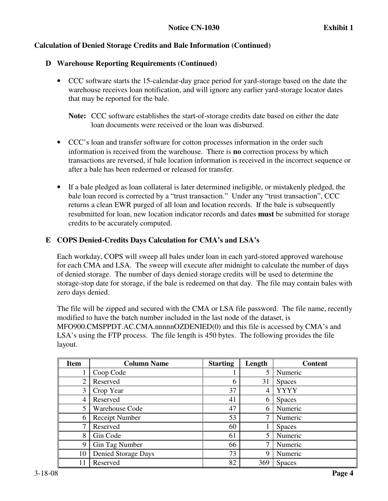## **D Warehouse Reporting Requirements (Continued)**

• CCC software starts the 15-calendar-day grace period for yard-storage based on the date the warehouse receives loan notification, and will ignore any earlier yard-storage locator dates that may be reported for the bale.

**Note:** CCC software establishes the start-of-storage credits date based on either the date loan documents were received or the loan was disbursed.

- CCC's loan and transfer software for cotton processes information in the order such information is received from the warehouse. There is **no** correction process by which transactions are reversed, if bale location information is received in the incorrect sequence or after a bale has been redeemed or released for transfer.
- If a bale pledged as loan collateral is later determined ineligible, or mistakenly pledged, the bale loan record is corrected by a "trust transaction." Under any "trust transaction", CCC returns a clean EWR purged of all loan and location records. If the bale is subsequently resubmitted for loan, new location indicator records and dates **must** be submitted for storage credits to be accurately computed.

## **E COPS Denied-Credits Days Calculation for CMA's and LSA's**

Each workday, COPS will sweep all bales under loan in each yard-stored approved warehouse for each CMA and LSA. The sweep will execute after midnight to calculate the number of days of denied storage. The number of days denied storage credits will be used to determine the storage-stop date for storage, if the bale is redeemed on that day. The file may contain bales with zero days denied.

The file will be zipped and secured with the CMA or LSA file password. The file name, recently modified to have the batch number included in the last node of the dataset, is MFO900.CMSPPDT.AC.CMA.nnnnnOZDENIED(0) and this file is accessed by CMA's and LSA's using the FTP process. The file length is 450 bytes. The following provides the file layout.

| <b>Item</b>    | <b>Column Name</b>    | <b>Starting</b> | Length | <b>Content</b> |
|----------------|-----------------------|-----------------|--------|----------------|
|                | Coop Code             |                 | 5      | Numeric        |
| $\overline{2}$ | Reserved              | 6               | 31     | <b>Spaces</b>  |
| 3              | Crop Year             | 37              | 4      | <b>YYYY</b>    |
| 4              | Reserved              | 41              | 6      | <b>Spaces</b>  |
| 5              | <b>Warehouse Code</b> | 47              | 6      | Numeric        |
| 6              | Receipt Number        | 53              | 7      | Numeric        |
| 7              | Reserved              | 60              |        | <b>Spaces</b>  |
| 8              | Gin Code              | 61              | 5      | Numeric        |
| 9              | Gin Tag Number        | 66              | 7      | Numeric        |
| 10             | Denied Storage Days   | 73              | 9      | Numeric        |
|                | Reserved              | 82              | 369    | <b>Spaces</b>  |